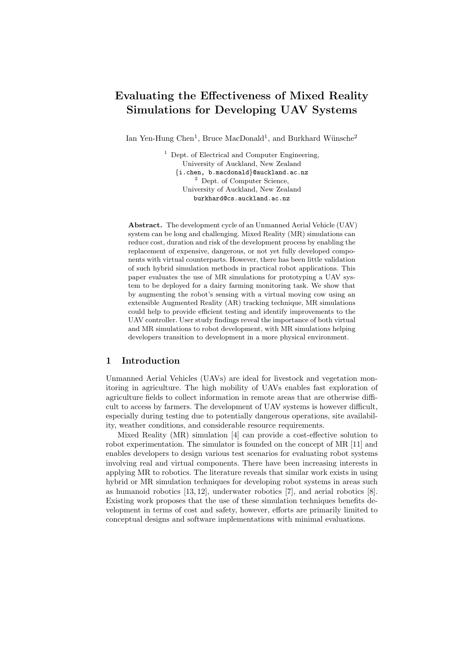# Evaluating the Effectiveness of Mixed Reality Simulations for Developing UAV Systems

Ian Yen-Hung Chen<sup>1</sup>, Bruce MacDonald<sup>1</sup>, and Burkhard Wünsche<sup>2</sup>

<sup>1</sup> Dept. of Electrical and Computer Engineering, University of Auckland, New Zealand {i.chen, b.macdonald}@auckland.ac.nz <sup>2</sup> Dept. of Computer Science, University of Auckland, New Zealand burkhard@cs.auckland.ac.nz

Abstract. The development cycle of an Unmanned Aerial Vehicle (UAV) system can be long and challenging. Mixed Reality (MR) simulations can reduce cost, duration and risk of the development process by enabling the replacement of expensive, dangerous, or not yet fully developed components with virtual counterparts. However, there has been little validation of such hybrid simulation methods in practical robot applications. This paper evaluates the use of MR simulations for prototyping a UAV system to be deployed for a dairy farming monitoring task. We show that by augmenting the robot's sensing with a virtual moving cow using an extensible Augmented Reality (AR) tracking technique, MR simulations could help to provide efficient testing and identify improvements to the UAV controller. User study findings reveal the importance of both virtual and MR simulations to robot development, with MR simulations helping developers transition to development in a more physical environment.

# 1 Introduction

Unmanned Aerial Vehicles (UAVs) are ideal for livestock and vegetation monitoring in agriculture. The high mobility of UAVs enables fast exploration of agriculture fields to collect information in remote areas that are otherwise difficult to access by farmers. The development of UAV systems is however difficult, especially during testing due to potentially dangerous operations, site availability, weather conditions, and considerable resource requirements.

Mixed Reality (MR) simulation [4] can provide a cost-effective solution to robot experimentation. The simulator is founded on the concept of MR [11] and enables developers to design various test scenarios for evaluating robot systems involving real and virtual components. There have been increasing interests in applying MR to robotics. The literature reveals that similar work exists in using hybrid or MR simulation techniques for developing robot systems in areas such as humanoid robotics [13, 12], underwater robotics [7], and aerial robotics [8]. Existing work proposes that the use of these simulation techniques benefits development in terms of cost and safety, however, efforts are primarily limited to conceptual designs and software implementations with minimal evaluations.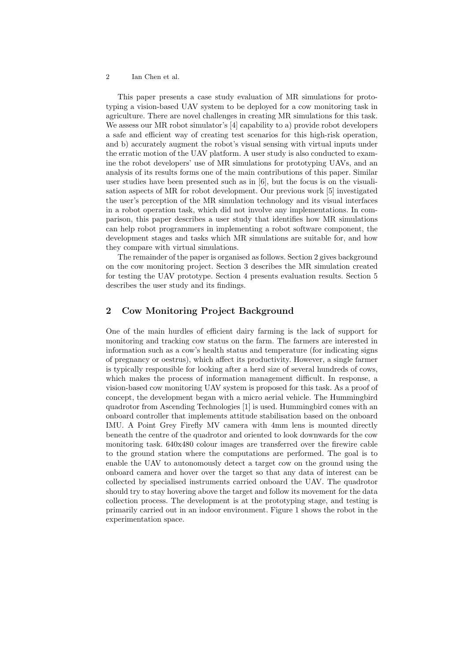This paper presents a case study evaluation of MR simulations for prototyping a vision-based UAV system to be deployed for a cow monitoring task in agriculture. There are novel challenges in creating MR simulations for this task. We assess our MR robot simulator's [4] capability to a) provide robot developers a safe and efficient way of creating test scenarios for this high-risk operation, and b) accurately augment the robot's visual sensing with virtual inputs under the erratic motion of the UAV platform. A user study is also conducted to examine the robot developers' use of MR simulations for prototyping UAVs, and an analysis of its results forms one of the main contributions of this paper. Similar user studies have been presented such as in [6], but the focus is on the visualisation aspects of MR for robot development. Our previous work [5] investigated the user's perception of the MR simulation technology and its visual interfaces in a robot operation task, which did not involve any implementations. In comparison, this paper describes a user study that identifies how MR simulations can help robot programmers in implementing a robot software component, the development stages and tasks which MR simulations are suitable for, and how they compare with virtual simulations.

The remainder of the paper is organised as follows. Section 2 gives background on the cow monitoring project. Section 3 describes the MR simulation created for testing the UAV prototype. Section 4 presents evaluation results. Section 5 describes the user study and its findings.

# 2 Cow Monitoring Project Background

One of the main hurdles of efficient dairy farming is the lack of support for monitoring and tracking cow status on the farm. The farmers are interested in information such as a cow's health status and temperature (for indicating signs of pregnancy or oestrus), which affect its productivity. However, a single farmer is typically responsible for looking after a herd size of several hundreds of cows, which makes the process of information management difficult. In response, a vision-based cow monitoring UAV system is proposed for this task. As a proof of concept, the development began with a micro aerial vehicle. The Hummingbird quadrotor from Ascending Technologies [1] is used. Hummingbird comes with an onboard controller that implements attitude stabilisation based on the onboard IMU. A Point Grey Firefly MV camera with 4mm lens is mounted directly beneath the centre of the quadrotor and oriented to look downwards for the cow monitoring task. 640x480 colour images are transferred over the firewire cable to the ground station where the computations are performed. The goal is to enable the UAV to autonomously detect a target cow on the ground using the onboard camera and hover over the target so that any data of interest can be collected by specialised instruments carried onboard the UAV. The quadrotor should try to stay hovering above the target and follow its movement for the data collection process. The development is at the prototyping stage, and testing is primarily carried out in an indoor environment. Figure 1 shows the robot in the experimentation space.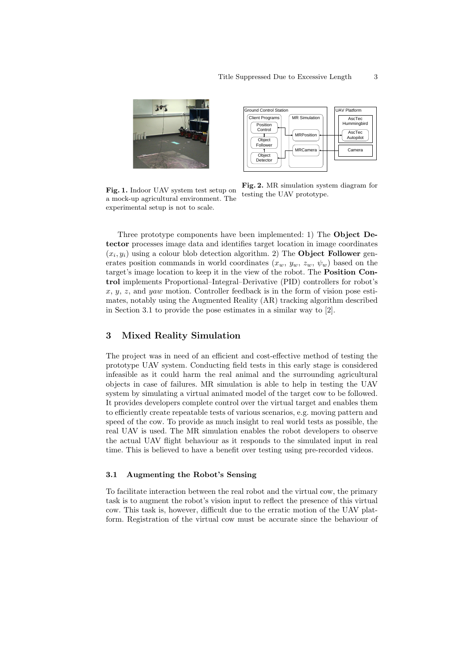



Fig. 1. Indoor UAV system test setup on a mock-up agricultural environment. The experimental setup is not to scale.

Fig. 2. MR simulation system diagram for testing the UAV prototype.

Three prototype components have been implemented: 1) The Object Detector processes image data and identifies target location in image coordinates  $(x_i, y_i)$  using a colour blob detection algorithm. 2) The **Object Follower** generates position commands in world coordinates  $(x_w, y_w, z_w, \psi_w)$  based on the target's image location to keep it in the view of the robot. The Position Control implements Proportional–Integral–Derivative (PID) controllers for robot's x, y, z, and yaw motion. Controller feedback is in the form of vision pose estimates, notably using the Augmented Reality (AR) tracking algorithm described in Section 3.1 to provide the pose estimates in a similar way to [2].

# 3 Mixed Reality Simulation

The project was in need of an efficient and cost-effective method of testing the prototype UAV system. Conducting field tests in this early stage is considered infeasible as it could harm the real animal and the surrounding agricultural objects in case of failures. MR simulation is able to help in testing the UAV system by simulating a virtual animated model of the target cow to be followed. It provides developers complete control over the virtual target and enables them to efficiently create repeatable tests of various scenarios, e.g. moving pattern and speed of the cow. To provide as much insight to real world tests as possible, the real UAV is used. The MR simulation enables the robot developers to observe the actual UAV flight behaviour as it responds to the simulated input in real time. This is believed to have a benefit over testing using pre-recorded videos.

## 3.1 Augmenting the Robot's Sensing

To facilitate interaction between the real robot and the virtual cow, the primary task is to augment the robot's vision input to reflect the presence of this virtual cow. This task is, however, difficult due to the erratic motion of the UAV platform. Registration of the virtual cow must be accurate since the behaviour of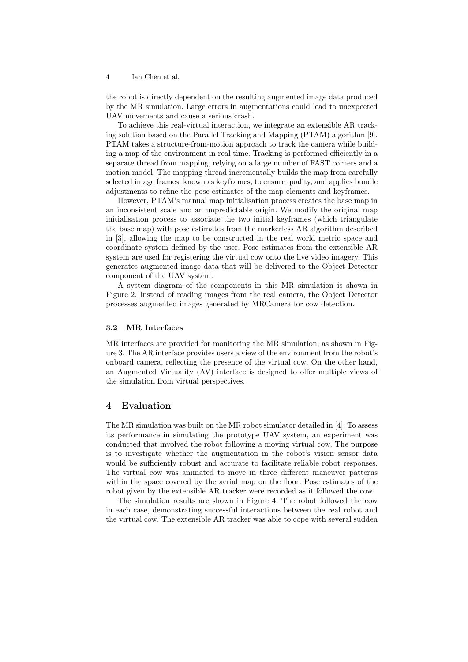the robot is directly dependent on the resulting augmented image data produced by the MR simulation. Large errors in augmentations could lead to unexpected UAV movements and cause a serious crash.

To achieve this real-virtual interaction, we integrate an extensible AR tracking solution based on the Parallel Tracking and Mapping (PTAM) algorithm [9]. PTAM takes a structure-from-motion approach to track the camera while building a map of the environment in real time. Tracking is performed efficiently in a separate thread from mapping, relying on a large number of FAST corners and a motion model. The mapping thread incrementally builds the map from carefully selected image frames, known as keyframes, to ensure quality, and applies bundle adjustments to refine the pose estimates of the map elements and keyframes.

However, PTAM's manual map initialisation process creates the base map in an inconsistent scale and an unpredictable origin. We modify the original map initialisation process to associate the two initial keyframes (which triangulate the base map) with pose estimates from the markerless AR algorithm described in [3], allowing the map to be constructed in the real world metric space and coordinate system defined by the user. Pose estimates from the extensible AR system are used for registering the virtual cow onto the live video imagery. This generates augmented image data that will be delivered to the Object Detector component of the UAV system.

A system diagram of the components in this MR simulation is shown in Figure 2. Instead of reading images from the real camera, the Object Detector processes augmented images generated by MRCamera for cow detection.

## 3.2 MR Interfaces

MR interfaces are provided for monitoring the MR simulation, as shown in Figure 3. The AR interface provides users a view of the environment from the robot's onboard camera, reflecting the presence of the virtual cow. On the other hand, an Augmented Virtuality (AV) interface is designed to offer multiple views of the simulation from virtual perspectives.

# 4 Evaluation

The MR simulation was built on the MR robot simulator detailed in [4]. To assess its performance in simulating the prototype UAV system, an experiment was conducted that involved the robot following a moving virtual cow. The purpose is to investigate whether the augmentation in the robot's vision sensor data would be sufficiently robust and accurate to facilitate reliable robot responses. The virtual cow was animated to move in three different maneuver patterns within the space covered by the aerial map on the floor. Pose estimates of the robot given by the extensible AR tracker were recorded as it followed the cow.

The simulation results are shown in Figure 4. The robot followed the cow in each case, demonstrating successful interactions between the real robot and the virtual cow. The extensible AR tracker was able to cope with several sudden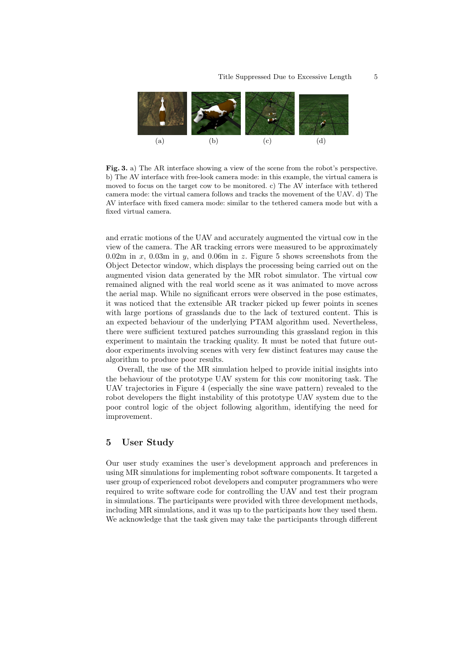

Fig. 3. a) The AR interface showing a view of the scene from the robot's perspective. b) The AV interface with free-look camera mode: in this example, the virtual camera is moved to focus on the target cow to be monitored. c) The AV interface with tethered camera mode: the virtual camera follows and tracks the movement of the UAV. d) The AV interface with fixed camera mode: similar to the tethered camera mode but with a fixed virtual camera.

and erratic motions of the UAV and accurately augmented the virtual cow in the view of the camera. The AR tracking errors were measured to be approximately 0.02m in x, 0.03m in y, and 0.06m in z. Figure 5 shows screenshots from the Object Detector window, which displays the processing being carried out on the augmented vision data generated by the MR robot simulator. The virtual cow remained aligned with the real world scene as it was animated to move across the aerial map. While no significant errors were observed in the pose estimates, it was noticed that the extensible AR tracker picked up fewer points in scenes with large portions of grasslands due to the lack of textured content. This is an expected behaviour of the underlying PTAM algorithm used. Nevertheless, there were sufficient textured patches surrounding this grassland region in this experiment to maintain the tracking quality. It must be noted that future outdoor experiments involving scenes with very few distinct features may cause the algorithm to produce poor results.

Overall, the use of the MR simulation helped to provide initial insights into the behaviour of the prototype UAV system for this cow monitoring task. The UAV trajectories in Figure 4 (especially the sine wave pattern) revealed to the robot developers the flight instability of this prototype UAV system due to the poor control logic of the object following algorithm, identifying the need for improvement.

# 5 User Study

Our user study examines the user's development approach and preferences in using MR simulations for implementing robot software components. It targeted a user group of experienced robot developers and computer programmers who were required to write software code for controlling the UAV and test their program in simulations. The participants were provided with three development methods, including MR simulations, and it was up to the participants how they used them. We acknowledge that the task given may take the participants through different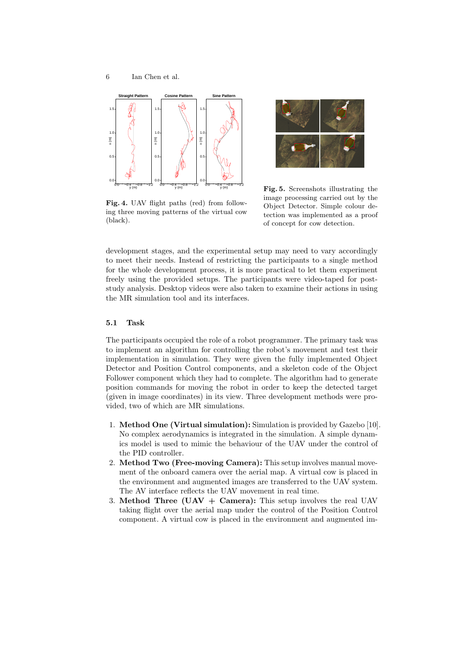



Fig. 4. UAV flight paths (red) from following three moving patterns of the virtual cow (black).

Fig. 5. Screenshots illustrating the image processing carried out by the Object Detector. Simple colour detection was implemented as a proof of concept for cow detection.

development stages, and the experimental setup may need to vary accordingly to meet their needs. Instead of restricting the participants to a single method for the whole development process, it is more practical to let them experiment freely using the provided setups. The participants were video-taped for poststudy analysis. Desktop videos were also taken to examine their actions in using the MR simulation tool and its interfaces.

# 5.1 Task

The participants occupied the role of a robot programmer. The primary task was to implement an algorithm for controlling the robot's movement and test their implementation in simulation. They were given the fully implemented Object Detector and Position Control components, and a skeleton code of the Object Follower component which they had to complete. The algorithm had to generate position commands for moving the robot in order to keep the detected target (given in image coordinates) in its view. Three development methods were provided, two of which are MR simulations.

- 1. Method One (Virtual simulation): Simulation is provided by Gazebo [10]. No complex aerodynamics is integrated in the simulation. A simple dynamics model is used to mimic the behaviour of the UAV under the control of the PID controller.
- 2. Method Two (Free-moving Camera): This setup involves manual movement of the onboard camera over the aerial map. A virtual cow is placed in the environment and augmented images are transferred to the UAV system. The AV interface reflects the UAV movement in real time.
- 3. Method Three  $(UAV + Camera)$ : This setup involves the real UAV taking flight over the aerial map under the control of the Position Control component. A virtual cow is placed in the environment and augmented im-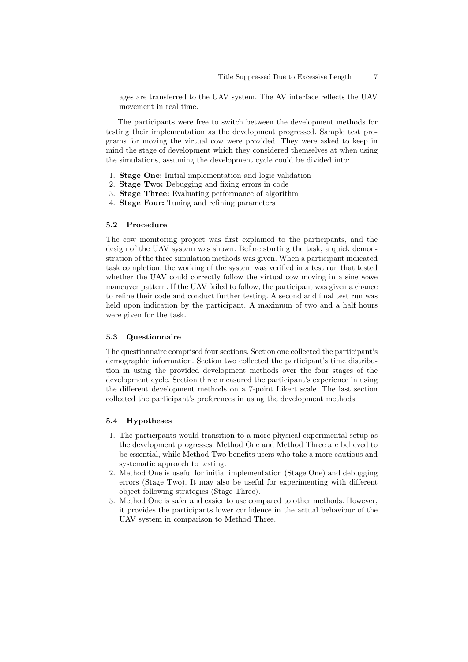ages are transferred to the UAV system. The AV interface reflects the UAV movement in real time.

The participants were free to switch between the development methods for testing their implementation as the development progressed. Sample test programs for moving the virtual cow were provided. They were asked to keep in mind the stage of development which they considered themselves at when using the simulations, assuming the development cycle could be divided into:

- 1. Stage One: Initial implementation and logic validation
- 2. Stage Two: Debugging and fixing errors in code
- 3. Stage Three: Evaluating performance of algorithm
- 4. Stage Four: Tuning and refining parameters

#### 5.2 Procedure

The cow monitoring project was first explained to the participants, and the design of the UAV system was shown. Before starting the task, a quick demonstration of the three simulation methods was given. When a participant indicated task completion, the working of the system was verified in a test run that tested whether the UAV could correctly follow the virtual cow moving in a sine wave maneuver pattern. If the UAV failed to follow, the participant was given a chance to refine their code and conduct further testing. A second and final test run was held upon indication by the participant. A maximum of two and a half hours were given for the task.

#### 5.3 Questionnaire

The questionnaire comprised four sections. Section one collected the participant's demographic information. Section two collected the participant's time distribution in using the provided development methods over the four stages of the development cycle. Section three measured the participant's experience in using the different development methods on a 7-point Likert scale. The last section collected the participant's preferences in using the development methods.

### 5.4 Hypotheses

- 1. The participants would transition to a more physical experimental setup as the development progresses. Method One and Method Three are believed to be essential, while Method Two benefits users who take a more cautious and systematic approach to testing.
- 2. Method One is useful for initial implementation (Stage One) and debugging errors (Stage Two). It may also be useful for experimenting with different object following strategies (Stage Three).
- 3. Method One is safer and easier to use compared to other methods. However, it provides the participants lower confidence in the actual behaviour of the UAV system in comparison to Method Three.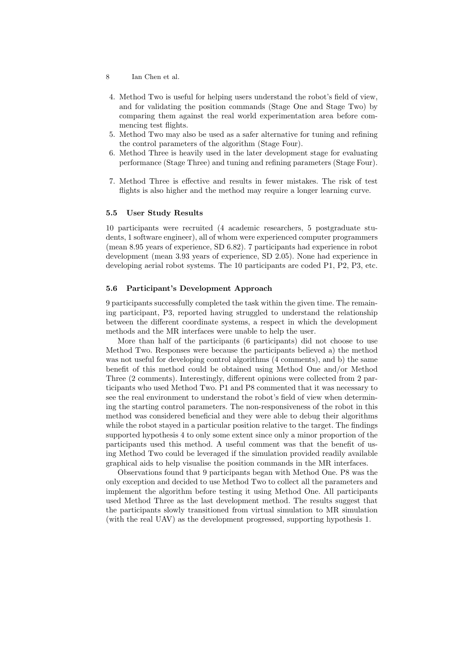- 8 Ian Chen et al.
- 4. Method Two is useful for helping users understand the robot's field of view, and for validating the position commands (Stage One and Stage Two) by comparing them against the real world experimentation area before commencing test flights.
- 5. Method Two may also be used as a safer alternative for tuning and refining the control parameters of the algorithm (Stage Four).
- 6. Method Three is heavily used in the later development stage for evaluating performance (Stage Three) and tuning and refining parameters (Stage Four).
- 7. Method Three is effective and results in fewer mistakes. The risk of test flights is also higher and the method may require a longer learning curve.

#### 5.5 User Study Results

10 participants were recruited (4 academic researchers, 5 postgraduate students, 1 software engineer), all of whom were experienced computer programmers (mean 8.95 years of experience, SD 6.82). 7 participants had experience in robot development (mean 3.93 years of experience, SD 2.05). None had experience in developing aerial robot systems. The 10 participants are coded P1, P2, P3, etc.

## 5.6 Participant's Development Approach

9 participants successfully completed the task within the given time. The remaining participant, P3, reported having struggled to understand the relationship between the different coordinate systems, a respect in which the development methods and the MR interfaces were unable to help the user.

More than half of the participants (6 participants) did not choose to use Method Two. Responses were because the participants believed a) the method was not useful for developing control algorithms (4 comments), and b) the same benefit of this method could be obtained using Method One and/or Method Three (2 comments). Interestingly, different opinions were collected from 2 participants who used Method Two. P1 and P8 commented that it was necessary to see the real environment to understand the robot's field of view when determining the starting control parameters. The non-responsiveness of the robot in this method was considered beneficial and they were able to debug their algorithms while the robot stayed in a particular position relative to the target. The findings supported hypothesis 4 to only some extent since only a minor proportion of the participants used this method. A useful comment was that the benefit of using Method Two could be leveraged if the simulation provided readily available graphical aids to help visualise the position commands in the MR interfaces.

Observations found that 9 participants began with Method One. P8 was the only exception and decided to use Method Two to collect all the parameters and implement the algorithm before testing it using Method One. All participants used Method Three as the last development method. The results suggest that the participants slowly transitioned from virtual simulation to MR simulation (with the real UAV) as the development progressed, supporting hypothesis 1.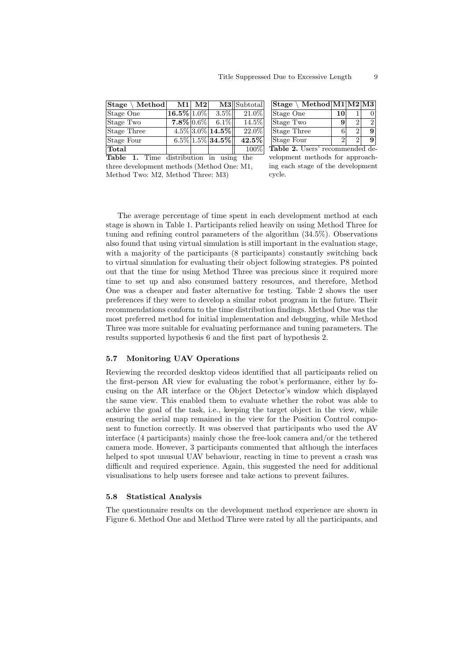| $\overline{\text{Stage}\setminus \text{Method}}$ | $\mathbf{M1}$   | M2 |                    | M3 Subtotal |
|--------------------------------------------------|-----------------|----|--------------------|-------------|
| Stage One                                        | $16.5\% 1.0\% $ |    | $3.5\%$            | $21.0\%$    |
| Stage Two                                        | $7.8\%$ 0.6%    |    | $6.1\%$            | 14.5%       |
| Stage Three                                      |                 |    | $4.5\%$ 3.0% 14.5% | 22.0%       |
| Stage Four                                       |                 |    | $6.5\%$ 1.5% 34.5% | 42.5%       |
| $ {\rm Total} $                                  |                 |    |                    | 100%        |

| $ \text{Stage} \setminus \text{Method} \text{M1} \text{M2} \text{M3} $ |    |  |
|------------------------------------------------------------------------|----|--|
| Stage One                                                              | 10 |  |
| Stage Two                                                              |    |  |
| Stage Three                                                            |    |  |
| Stage Four                                                             |    |  |

Table 1. Time distribution in using the three development methods (Method One: M1, Method Two: M2, Method Three: M3)

Table 2. Users' recommended development methods for approaching each stage of the development cycle.

The average percentage of time spent in each development method at each stage is shown in Table 1. Participants relied heavily on using Method Three for tuning and refining control parameters of the algorithm (34.5%). Observations also found that using virtual simulation is still important in the evaluation stage, with a majority of the participants (8 participants) constantly switching back to virtual simulation for evaluating their object following strategies. P8 pointed out that the time for using Method Three was precious since it required more time to set up and also consumed battery resources, and therefore, Method One was a cheaper and faster alternative for testing. Table 2 shows the user preferences if they were to develop a similar robot program in the future. Their recommendations conform to the time distribution findings. Method One was the most preferred method for initial implementation and debugging, while Method Three was more suitable for evaluating performance and tuning parameters. The results supported hypothesis 6 and the first part of hypothesis 2.

## 5.7 Monitoring UAV Operations

Reviewing the recorded desktop videos identified that all participants relied on the first-person AR view for evaluating the robot's performance, either by focusing on the AR interface or the Object Detector's window which displayed the same view. This enabled them to evaluate whether the robot was able to achieve the goal of the task, i.e., keeping the target object in the view, while ensuring the aerial map remained in the view for the Position Control component to function correctly. It was observed that participants who used the AV interface (4 participants) mainly chose the free-look camera and/or the tethered camera mode. However, 3 participants commented that although the interfaces helped to spot unusual UAV behaviour, reacting in time to prevent a crash was difficult and required experience. Again, this suggested the need for additional visualisations to help users foresee and take actions to prevent failures.

#### 5.8 Statistical Analysis

The questionnaire results on the development method experience are shown in Figure 6. Method One and Method Three were rated by all the participants, and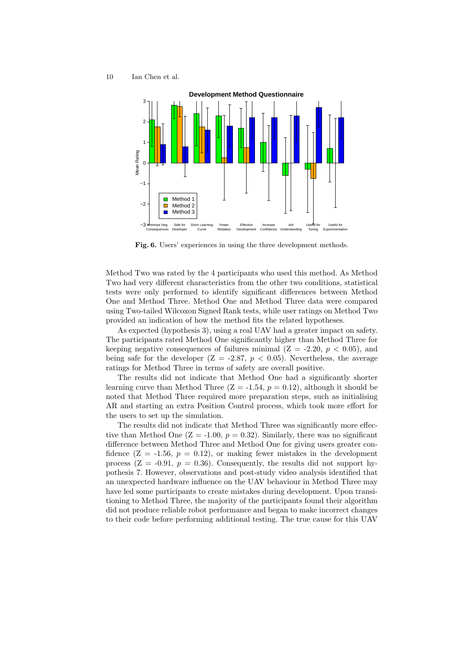

Fig. 6. Users' experiences in using the three development methods.

Method Two was rated by the 4 participants who used this method. As Method Two had very different characteristics from the other two conditions, statistical tests were only performed to identify significant differences between Method One and Method Three. Method One and Method Three data were compared using Two-tailed Wilcoxon Signed Rank tests, while user ratings on Method Two provided an indication of how the method fits the related hypotheses.

As expected (hypothesis 3), using a real UAV had a greater impact on safety. The participants rated Method One significantly higher than Method Three for keeping negative consequences of failures minimal ( $Z = -2.20, p < 0.05$ ), and being safe for the developer  $(Z = -2.87, p < 0.05)$ . Nevertheless, the average ratings for Method Three in terms of safety are overall positive.

The results did not indicate that Method One had a significantly shorter learning curve than Method Three  $(Z = -1.54, p = 0.12)$ , although it should be noted that Method Three required more preparation steps, such as initialising AR and starting an extra Position Control process, which took more effort for the users to set up the simulation.

The results did not indicate that Method Three was significantly more effective than Method One  $(Z = -1.00, p = 0.32)$ . Similarly, there was no significant difference between Method Three and Method One for giving users greater confidence  $(Z = -1.56, p = 0.12)$ , or making fewer mistakes in the development process  $(Z = -0.91, p = 0.36)$ . Consequently, the results did not support hypothesis 7. However, observations and post-study video analysis identified that an unexpected hardware influence on the UAV behaviour in Method Three may have led some participants to create mistakes during development. Upon transitioning to Method Three, the majority of the participants found their algorithm did not produce reliable robot performance and began to make incorrect changes to their code before performing additional testing. The true cause for this UAV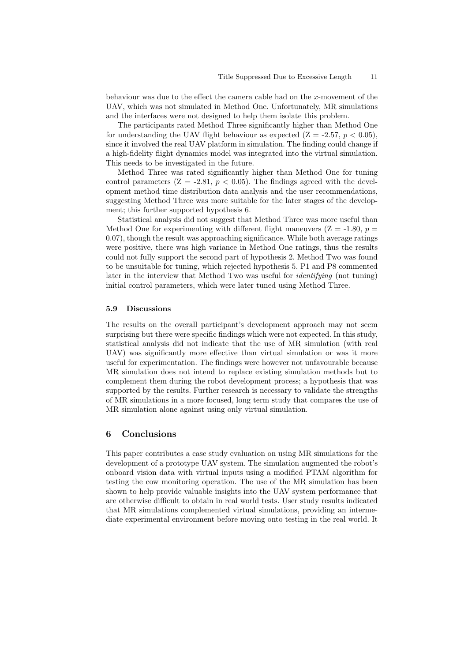behaviour was due to the effect the camera cable had on the  $x$ -movement of the UAV, which was not simulated in Method One. Unfortunately, MR simulations and the interfaces were not designed to help them isolate this problem.

The participants rated Method Three significantly higher than Method One for understanding the UAV flight behaviour as expected  $(Z = -2.57, p < 0.05)$ . since it involved the real UAV platform in simulation. The finding could change if a high-fidelity flight dynamics model was integrated into the virtual simulation. This needs to be investigated in the future.

Method Three was rated significantly higher than Method One for tuning control parameters  $(Z = -2.81, p < 0.05)$ . The findings agreed with the development method time distribution data analysis and the user recommendations, suggesting Method Three was more suitable for the later stages of the development; this further supported hypothesis 6.

Statistical analysis did not suggest that Method Three was more useful than Method One for experimenting with different flight maneuvers  $(Z = -1.80, p =$ 0.07), though the result was approaching significance. While both average ratings were positive, there was high variance in Method One ratings, thus the results could not fully support the second part of hypothesis 2. Method Two was found to be unsuitable for tuning, which rejected hypothesis 5. P1 and P8 commented later in the interview that Method Two was useful for identifying (not tuning) initial control parameters, which were later tuned using Method Three.

#### 5.9 Discussions

The results on the overall participant's development approach may not seem surprising but there were specific findings which were not expected. In this study, statistical analysis did not indicate that the use of MR simulation (with real UAV) was significantly more effective than virtual simulation or was it more useful for experimentation. The findings were however not unfavourable because MR simulation does not intend to replace existing simulation methods but to complement them during the robot development process; a hypothesis that was supported by the results. Further research is necessary to validate the strengths of MR simulations in a more focused, long term study that compares the use of MR simulation alone against using only virtual simulation.

## 6 Conclusions

This paper contributes a case study evaluation on using MR simulations for the development of a prototype UAV system. The simulation augmented the robot's onboard vision data with virtual inputs using a modified PTAM algorithm for testing the cow monitoring operation. The use of the MR simulation has been shown to help provide valuable insights into the UAV system performance that are otherwise difficult to obtain in real world tests. User study results indicated that MR simulations complemented virtual simulations, providing an intermediate experimental environment before moving onto testing in the real world. It